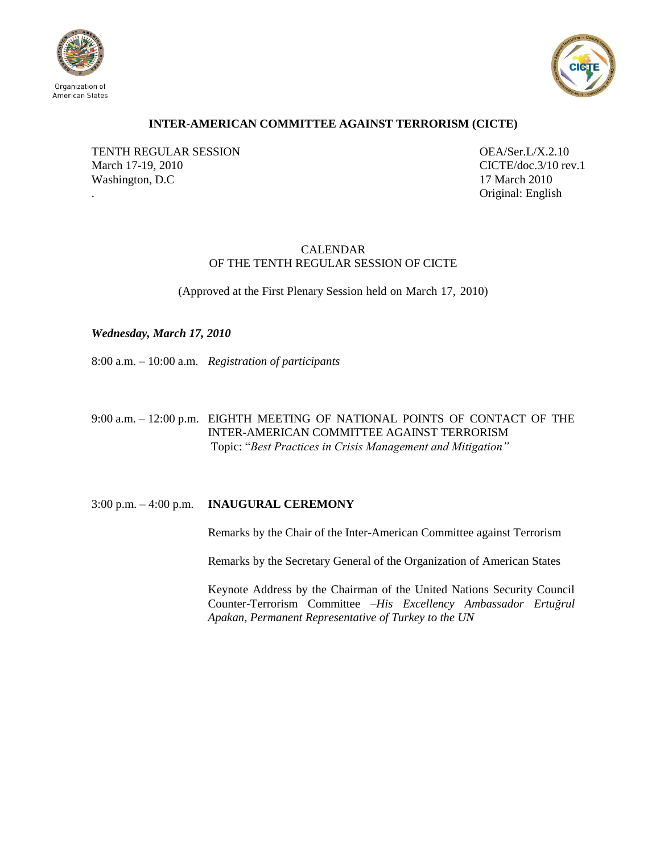



# **INTER-AMERICAN COMMITTEE AGAINST TERRORISM (CICTE)**

TENTH REGULAR SESSION OEA/Ser.L/X.2.10 March 17-19, 2010 CICTE/doc.3/10 rev.1 Washington, D.C 17 March 2010

. Original: English

# CALENDAR OF THE TENTH REGULAR SESSION OF CICTE

(Approved at the First Plenary Session held on March 17, 2010)

*Wednesday, March 17, 2010*

8:00 a.m. – 10:00 a.m. *Registration of participants*

9:00 a.m. – 12:00 p.m. EIGHTH MEETING OF NATIONAL POINTS OF CONTACT OF THE INTER-AMERICAN COMMITTEE AGAINST TERRORISM Topic: "*Best Practices in Crisis Management and Mitigation"*

3:00 p.m. – 4:00 p.m. **INAUGURAL CEREMONY**

Remarks by the Chair of the Inter-American Committee against Terrorism

Remarks by the Secretary General of the Organization of American States

Keynote Address by the Chairman of the United Nations Security Council Counter-Terrorism Committee *–His Excellency Ambassador Ertuğrul Apakan, Permanent Representative of Turkey to the UN*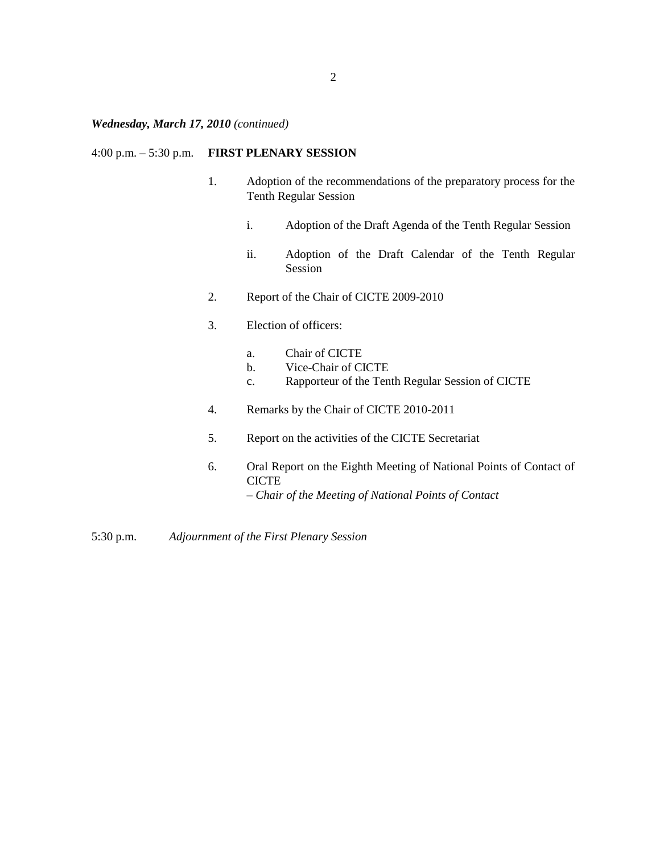# *Wednesday, March 17, 2010 (continued)*

## 4:00 p.m. – 5:30 p.m. **FIRST PLENARY SESSION**

- 1. Adoption of the recommendations of the preparatory process for the Tenth Regular Session
	- i. Adoption of the Draft Agenda of the Tenth Regular Session
	- ii. Adoption of the Draft Calendar of the Tenth Regular Session
- 2. Report of the Chair of CICTE 2009-2010
- 3. Election of officers:
	- a. Chair of CICTE
	- b. Vice-Chair of CICTE
	- c. Rapporteur of the Tenth Regular Session of CICTE
- 4. Remarks by the Chair of CICTE 2010-2011
- 5. Report on the activities of the CICTE Secretariat
- 6. Oral Report on the Eighth Meeting of National Points of Contact of **CICTE** *– Chair of the Meeting of National Points of Contact*

5:30 p.m. *Adjournment of the First Plenary Session*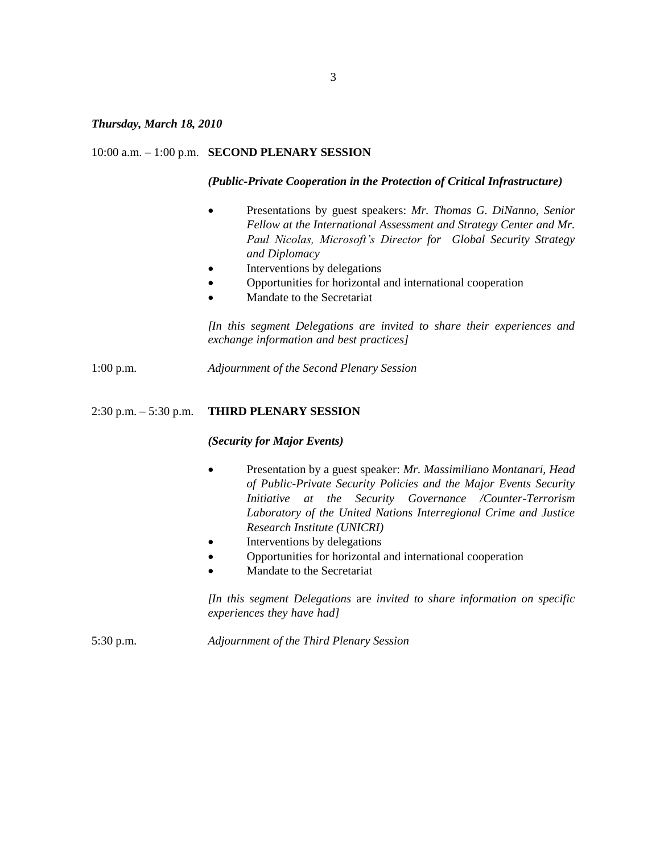### *Thursday, March 18, 2010*

#### 10:00 a.m. – 1:00 p.m. **SECOND PLENARY SESSION**

#### *(Public-Private Cooperation in the Protection of Critical Infrastructure)*

- Presentations by guest speakers: *Mr. Thomas G. DiNanno, Senior Fellow at the International Assessment and Strategy Center and Mr. Paul Nicolas, Microsoft's Director for Global Security Strategy and Diplomacy*
- Interventions by delegations
- Opportunities for horizontal and international cooperation
- Mandate to the Secretariat

*[In this segment Delegations are invited to share their experiences and exchange information and best practices]*

1:00 p.m. *Adjournment of the Second Plenary Session*

### 2:30 p.m. – 5:30 p.m. **THIRD PLENARY SESSION**

#### *(Security for Major Events)*

- Presentation by a guest speaker: *Mr. Massimiliano Montanari, Head of Public-Private Security Policies and the Major Events Security Initiative at the Security Governance /Counter-Terrorism Laboratory of the United Nations Interregional Crime and Justice Research Institute (UNICRI)*
- Interventions by delegations
- Opportunities for horizontal and international cooperation
- Mandate to the Secretariat

*[In this segment Delegations* are *invited to share information on specific experiences they have had]*

5:30 p.m. *Adjournment of the Third Plenary Session*